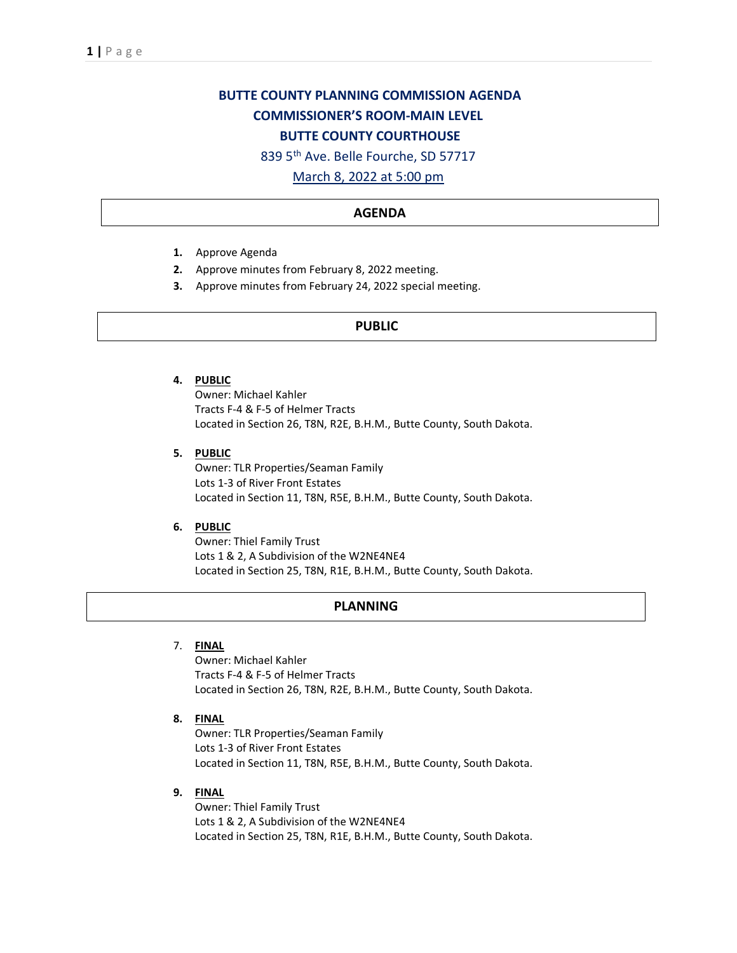# **BUTTE COUNTY PLANNING COMMISSION AGENDA COMMISSIONER'S ROOM-MAIN LEVEL BUTTE COUNTY COURTHOUSE**

839 5th Ave. Belle Fourche, SD 57717

March 8, 2022 at 5:00 pm

### **AGENDA**

- **1.** Approve Agenda
- **2.** Approve minutes from February 8, 2022 meeting.
- **3.** Approve minutes from February 24, 2022 special meeting.

## **PUBLIC**

#### **4. PUBLIC**

Owner: Michael Kahler Tracts F-4 & F-5 of Helmer Tracts Located in Section 26, T8N, R2E, B.H.M., Butte County, South Dakota.

**5. PUBLIC**

Owner: TLR Properties/Seaman Family Lots 1-3 of River Front Estates Located in Section 11, T8N, R5E, B.H.M., Butte County, South Dakota.

#### **6. PUBLIC**

Owner: Thiel Family Trust Lots 1 & 2, A Subdivision of the W2NE4NE4 Located in Section 25, T8N, R1E, B.H.M., Butte County, South Dakota.

#### **PLANNING**

#### 7. **FINAL**

Owner: Michael Kahler Tracts F-4 & F-5 of Helmer Tracts Located in Section 26, T8N, R2E, B.H.M., Butte County, South Dakota.

**8. FINAL**

Owner: TLR Properties/Seaman Family Lots 1-3 of River Front Estates Located in Section 11, T8N, R5E, B.H.M., Butte County, South Dakota.

**9. FINAL**

Owner: Thiel Family Trust Lots 1 & 2, A Subdivision of the W2NE4NE4 Located in Section 25, T8N, R1E, B.H.M., Butte County, South Dakota.